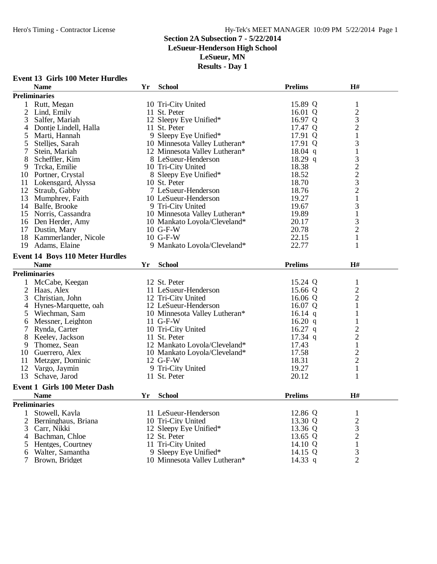**Event 13 Girls 100 Meter Hurdles**

#### Hero's Timing - Contractor License Hy-Tek's MEET MANAGER 10:09 PM 5/22/2014 Page 1

#### **Section 2A Subsection 7 - 5/22/2014**

**LeSueur-Henderson High School**

**LeSueur, MN**

#### **Results - Day 1**

|                | <b>Name</b>                            | Yr  | <b>School</b>                 | <b>Prelims</b> | H#             |  |  |  |
|----------------|----------------------------------------|-----|-------------------------------|----------------|----------------|--|--|--|
|                | <b>Preliminaries</b>                   |     |                               |                |                |  |  |  |
| 1              | Rutt, Megan                            |     | 10 Tri-City United            | 15.89 Q        | $\mathbf{1}$   |  |  |  |
| $\overline{2}$ | Lind, Emily                            |     | 11 St. Peter                  | 16.01 $Q$      | $\overline{c}$ |  |  |  |
| 3              | Salfer, Mariah                         |     | 12 Sleepy Eye Unified*        | 16.97 Q        |                |  |  |  |
| 4              | Dontje Lindell, Halla                  |     | 11 St. Peter                  | 17.47 Q        | $\frac{3}{2}$  |  |  |  |
| 5              | Marti, Hannah                          |     | 9 Sleepy Eye Unified*         | 17.91 Q        | $\mathbf{1}$   |  |  |  |
| 5              | Stelljes, Sarah                        |     | 10 Minnesota Valley Lutheran* | 17.91 Q        | 3              |  |  |  |
| 7              | Stein, Mariah                          |     | 12 Minnesota Valley Lutheran* | $18.04$ q      | $\mathbf{1}$   |  |  |  |
| 8              | Scheffler, Kim                         |     | 8 LeSueur-Henderson           | $18.29$ q      | 3              |  |  |  |
| 9              | Trcka, Emilie                          |     | 10 Tri-City United            | 18.38          |                |  |  |  |
| 10             | Portner, Crystal                       |     | 8 Sleepy Eye Unified*         | 18.52          | $\frac{2}{3}$  |  |  |  |
| 11             | Lokensgard, Alyssa                     |     | 10 St. Peter                  | 18.70          |                |  |  |  |
| 12             | Straub, Gabby                          |     | 7 LeSueur-Henderson           | 18.76          | $\overline{c}$ |  |  |  |
| 13             | Mumphrey, Faith                        |     | 10 LeSueur-Henderson          | 19.27          | $\mathbf{1}$   |  |  |  |
|                | 14 Balfe, Brooke                       |     | 9 Tri-City United             | 19.67          | 3              |  |  |  |
|                | 15 Norris, Cassandra                   |     | 10 Minnesota Valley Lutheran* | 19.89          | $\mathbf{1}$   |  |  |  |
|                | 16 Den Herder, Amy                     |     | 10 Mankato Loyola/Cleveland*  | 20.17          |                |  |  |  |
|                | 17 Dustin, Mary                        |     | $10$ G-F-W                    | 20.78          | $\frac{3}{2}$  |  |  |  |
|                | Kammerlander, Nicole                   |     |                               |                |                |  |  |  |
| 18             |                                        |     | 10 G-F-W                      | 22.15          | $\mathbf{1}$   |  |  |  |
| 19             | Adams, Elaine                          |     | 9 Mankato Loyola/Cleveland*   | 22.77          | $\mathbf{1}$   |  |  |  |
|                | <b>Event 14 Boys 110 Meter Hurdles</b> |     |                               |                |                |  |  |  |
|                | <b>Name</b>                            | Yr. | <b>School</b>                 | <b>Prelims</b> | H#             |  |  |  |
|                | <b>Preliminaries</b>                   |     |                               |                |                |  |  |  |
| $\mathbf{1}$   | McCabe, Keegan                         |     | 12 St. Peter                  | 15.24 Q        | $\mathbf{1}$   |  |  |  |
| $\overline{2}$ | Haas, Alex                             |     | 11 LeSueur-Henderson          | 15.66 Q        | $\overline{c}$ |  |  |  |
| 3              | Christian, John                        |     | 12 Tri-City United            | 16.06 Q        | $\overline{c}$ |  |  |  |
| 4              | Hynes-Marquette, oah                   |     | 12 LeSueur-Henderson          | 16.07 Q        | $\mathbf{1}$   |  |  |  |
| 5              | Wiechman, Sam                          |     | 10 Minnesota Valley Lutheran* | 16.14 q        | $\mathbf{1}$   |  |  |  |
| 6              | Messner, Leighton                      |     | $11$ G-F-W                    | $16.20$ q      | $\mathbf{1}$   |  |  |  |
| $\tau$         | Rynda, Carter                          |     | 10 Tri-City United            | $16.27$ q      |                |  |  |  |
| 8              | Keeley, Jackson                        |     | 11 St. Peter                  | $17.34$ q      | $\frac{2}{2}$  |  |  |  |
| 9              | Thomez, Sean                           |     | 12 Mankato Loyola/Cleveland*  | 17.43          | $\mathbf{1}$   |  |  |  |
| 10             | Guerrero, Alex                         |     | 10 Mankato Loyola/Cleveland*  | 17.58          |                |  |  |  |
| 11             | Metzger, Dominic                       |     | 12 G-F-W                      | 18.31          | $\frac{2}{2}$  |  |  |  |
| 12             | Vargo, Jaymin                          |     | 9 Tri-City United             | 19.27          | $\,1$          |  |  |  |
| 13             | Schave, Jarod                          |     | 11 St. Peter                  | 20.12          | 1              |  |  |  |
|                |                                        |     |                               |                |                |  |  |  |
|                | <b>Event 1 Girls 100 Meter Dash</b>    |     |                               |                |                |  |  |  |
|                | <b>Name</b>                            | Yr  | <b>School</b>                 | <b>Prelims</b> | H#             |  |  |  |
|                | <b>Preliminaries</b>                   |     |                               |                |                |  |  |  |
| 1              | Stowell, Kayla                         |     | 11 LeSueur-Henderson          | 12.86 Q        | 1              |  |  |  |
| 2              | Berninghaus, Briana                    |     | 10 Tri-City United            | 13.30 Q        | $\sqrt{2}$     |  |  |  |
| 3              | Carr, Nikki                            |     | 12 Sleepy Eye Unified*        | 13.36 Q        | 3              |  |  |  |
| 4              | Bachman, Chloe                         |     | 12 St. Peter                  | 13.65 Q        | $\overline{2}$ |  |  |  |
| 5              | Hentges, Courtney                      |     | 11 Tri-City United            | 14.10 Q        | 1              |  |  |  |
| 6              | Walter, Samantha                       |     | 9 Sleepy Eye Unified*         | 14.15 Q        | 3              |  |  |  |

Brown, Bridget 10 Minnesota Valley Lutheran\* 14.33 q 2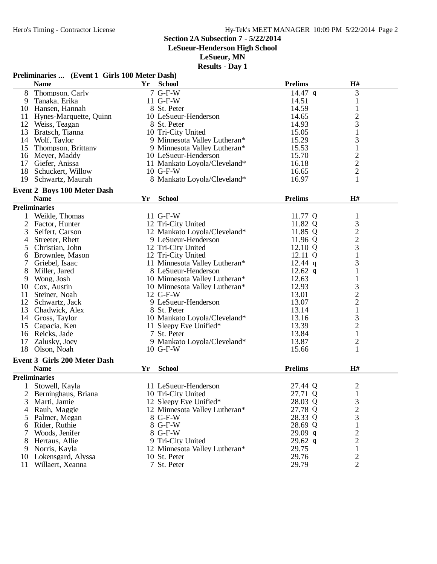**LeSueur-Henderson High School**

**LeSueur, MN**

|                | Preliminaries  (Event 1 Girls 100 Meter Dash) |    |                               |                |                                            |
|----------------|-----------------------------------------------|----|-------------------------------|----------------|--------------------------------------------|
|                | <b>Name</b>                                   | Yr | <b>School</b>                 | <b>Prelims</b> | H#                                         |
| 8              | Thompson, Carly                               |    | 7 G-F-W                       | 14.47 $q$      | 3                                          |
| 9              | Tanaka, Erika                                 |    | 11 G-F-W                      | 14.51          | $\mathbf{1}$                               |
|                | 10 Hansen, Hannah                             |    | 8 St. Peter                   | 14.59          | $\mathbf{1}$                               |
| 11             | Hynes-Marquette, Quinn                        |    | 10 LeSueur-Henderson          | 14.65          | $\overline{c}$                             |
|                | 12 Weiss, Teagan                              |    | 8 St. Peter                   | 14.93          | 3                                          |
|                | 13 Bratsch, Tianna                            |    | 10 Tri-City United            | 15.05          | $\mathbf 1$                                |
|                | 14 Wolf, Taylor                               |    | 9 Minnesota Valley Lutheran*  | 15.29          | 3                                          |
|                | 15 Thompson, Brittany                         |    | 9 Minnesota Valley Lutheran*  | 15.53          | $\mathbf{1}$                               |
|                | 16 Meyer, Maddy                               |    | 10 LeSueur-Henderson          | 15.70          |                                            |
| 17             | Giefer, Anissa                                |    | 11 Mankato Loyola/Cleveland*  | 16.18          | $\frac{2}{2}$                              |
|                | 18 Schuckert, Willow                          |    | $10$ G-F-W                    | 16.65          |                                            |
| 19             | Schwartz, Maurah                              |    | 8 Mankato Loyola/Cleveland*   | 16.97          | $\mathbf{1}$                               |
|                | <b>Event 2 Boys 100 Meter Dash</b>            |    |                               |                |                                            |
|                | <b>Name</b>                                   | Yr | <b>School</b>                 | <b>Prelims</b> | H#                                         |
|                | <b>Preliminaries</b>                          |    |                               |                |                                            |
| 1              | Weikle, Thomas                                |    | 11 G-F-W                      | 11.77 Q        | $\mathbf{1}$                               |
| $\overline{2}$ | Factor, Hunter                                |    | 12 Tri-City United            | 11.82 Q        |                                            |
| 3              | Seifert, Carson                               |    | 12 Mankato Loyola/Cleveland*  | 11.85 Q        | $\begin{array}{c} 3 \\ 2 \\ 3 \end{array}$ |
| 4              | Streeter, Rhett                               |    | 9 LeSueur-Henderson           | 11.96 Q        |                                            |
| 5              | Christian, John                               |    | 12 Tri-City United            | 12.10 Q        |                                            |
| 6              | Brownlee, Mason                               |    | 12 Tri-City United            | 12.11 Q        | $\mathbf{1}$                               |
| 7              | Griebel, Isaac                                |    | 11 Minnesota Valley Lutheran* | $12.44$ q      | 3                                          |
| 8              | Miller, Jared                                 |    | 8 LeSueur-Henderson           | $12.62$ q      | 1                                          |
| 9              | Wong, Josh                                    |    | 10 Minnesota Valley Lutheran* | 12.63          | $\mathbf{1}$                               |
|                | 10 Cox, Austin                                |    | 10 Minnesota Valley Lutheran* | 12.93          | 3                                          |
| 11             | Steiner, Noah                                 |    | 12 G-F-W                      | 13.01          |                                            |
| 12             | Schwartz, Jack                                |    | 9 LeSueur-Henderson           | 13.07          |                                            |
| 13             |                                               |    | 8 St. Peter                   | 13.14          | $\frac{2}{1}$                              |
|                | Chadwick, Alex<br>14 Gross, Taylor            |    | 10 Mankato Loyola/Cleveland*  | 13.16          |                                            |
|                | 15 Capacia, Ken                               |    | 11 Sleepy Eye Unified*        | 13.39          | $\frac{3}{2}$                              |
|                |                                               |    | 7 St. Peter                   | 13.84          | $\mathbf{1}$                               |
| 17             | 16 Reicks, Jade                               |    | 9 Mankato Loyola/Cleveland*   | 13.87          |                                            |
| 18             | Zalusky, Joey<br>Olson, Noah                  |    | 10 G-F-W                      | 15.66          | $\overline{\mathbf{c}}$<br>$\mathbf{1}$    |
|                |                                               |    |                               |                |                                            |
|                | <b>Event 3 Girls 200 Meter Dash</b>           |    |                               |                |                                            |
|                | <b>Name</b>                                   | Yr | <b>School</b>                 | <b>Prelims</b> | H#                                         |
|                | <b>Preliminaries</b>                          |    |                               |                |                                            |
|                | Stowell, Kayla                                |    | 11 LeSueur-Henderson          | 27.44 Q        | $\overline{c}$                             |
|                | Berninghaus, Briana                           |    | 10 Tri-City United            | 27.71 Q        | 1                                          |
| 3              | Marti, Jamie                                  |    | 12 Sleepy Eye Unified*        | 28.03 Q        | 3                                          |
| 4              | Rauh, Maggie                                  |    | 12 Minnesota Valley Lutheran* | 27.78 Q        | $\frac{2}{3}$                              |
| 5              | Palmer, Megan                                 |    | 8 G-F-W                       | 28.33 Q        |                                            |
| 6              | Rider, Ruthie                                 |    | 8 G-F-W                       | 28.69 Q        | $\mathbf{1}$                               |
| 7              | Woods, Jenifer                                |    | 8 G-F-W                       | $29.09$ q      | $\frac{2}{2}$                              |
| 8              | Hertaus, Allie                                |    | 9 Tri-City United             | $29.62$ q      |                                            |
|                | 9 Norris, Kayla                               |    | 12 Minnesota Valley Lutheran* | 29.75          | $\mathbf{1}$                               |
|                | 10 Lokensgard, Alyssa                         |    | 10 St. Peter                  | 29.76          | $\overline{\mathbf{c}}$                    |
| 11             | Willaert, Xeanna                              |    | 7 St. Peter                   | 29.79          | $\overline{2}$                             |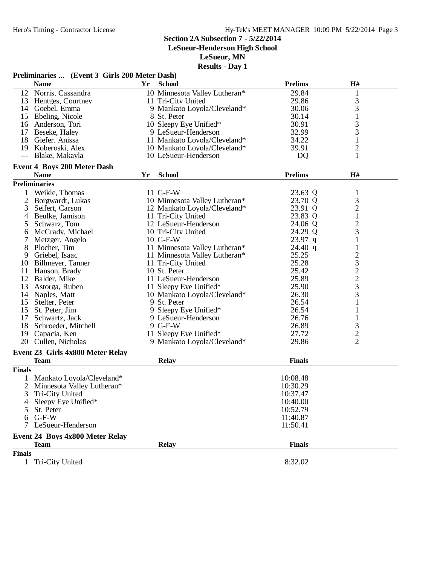**LeSueur-Henderson High School**

**LeSueur, MN**

|                     | Preliminaries  (Event 3 Girls 200 Meter Dash) |    |                               |                |                |  |
|---------------------|-----------------------------------------------|----|-------------------------------|----------------|----------------|--|
|                     | <b>Name</b>                                   | Yr | <b>School</b>                 | <b>Prelims</b> | H#             |  |
|                     | 12 Norris, Cassandra                          |    | 10 Minnesota Valley Lutheran* | 29.84          | 1              |  |
|                     | 13 Hentges, Courtney                          |    | 11 Tri-City United            | 29.86          | $\mathfrak{Z}$ |  |
|                     | 14 Goebel, Emma                               |    | 9 Mankato Loyola/Cleveland*   | 30.06          | 3              |  |
|                     | 15 Ebeling, Nicole                            |    | 8 St. Peter                   | 30.14          | $\mathbf{1}$   |  |
|                     | 16 Anderson, Tori                             |    | 10 Sleepy Eye Unified*        | 30.91          | 3              |  |
| 17                  | Beseke, Haley                                 |    | 9 LeSueur-Henderson           | 32.99          | 3              |  |
|                     | 18 Giefer, Anissa                             |    | 11 Mankato Loyola/Cleveland*  | 34.22          | $\mathbf{1}$   |  |
|                     | 19 Koberoski, Alex                            |    | 10 Mankato Loyola/Cleveland*  | 39.91          | $\overline{c}$ |  |
| $\qquad \qquad - -$ | Blake, Makayla                                |    | 10 LeSueur-Henderson          | DQ             | 1              |  |
|                     | <b>Event 4 Boys 200 Meter Dash</b>            |    |                               |                |                |  |
|                     | <b>Name</b>                                   | Yr | <b>School</b>                 | <b>Prelims</b> | H#             |  |
|                     | <b>Preliminaries</b>                          |    |                               |                |                |  |
| 1                   | Weikle, Thomas                                |    | 11 G-F-W                      | 23.63 Q        | $\mathbf{1}$   |  |
| $\overline{2}$      | Borgwardt, Lukas                              |    | 10 Minnesota Valley Lutheran* | 23.70 Q        | $\mathfrak{Z}$ |  |
| 3                   | Seifert, Carson                               |    | 12 Mankato Loyola/Cleveland*  | 23.91 Q        | $\overline{c}$ |  |
| 4                   | Beulke, Jamison                               |    | 11 Tri-City United            | 23.83 Q        | $\mathbf{1}$   |  |
| 5                   | Schwarz, Tom                                  |    | 12 LeSueur-Henderson          | 24.06 Q        | $\overline{c}$ |  |
| 6                   | McCrady, Michael                              |    | 10 Tri-City United            | 24.29 Q        | 3              |  |
| 7                   | Metzger, Angelo                               |    | $10$ G-F-W                    | 23.97 q        | 1              |  |
| 8                   | Plocher, Tim                                  |    | 11 Minnesota Valley Lutheran* | 24.40q         | $\mathbf{1}$   |  |
| 9                   | Griebel, Isaac                                |    | 11 Minnesota Valley Lutheran* | 25.25          | $\overline{c}$ |  |
| 10                  | Billmeyer, Tanner                             |    | 11 Tri-City United            | 25.28          | 3              |  |
| 11                  | Hanson, Brady                                 |    | 10 St. Peter                  | 25.42          | $\overline{c}$ |  |
| 12                  | Balder, Mike                                  |    | 11 LeSueur-Henderson          | 25.89          | $\overline{c}$ |  |
| 13                  | Astorga, Ruben                                |    | 11 Sleepy Eye Unified*        | 25.90          | 3              |  |
| 14                  | Naples, Matt                                  |    | 10 Mankato Loyola/Cleveland*  | 26.30          | 3              |  |
|                     | 15 Stelter, Peter                             |    | 9 St. Peter                   | 26.54          | 1              |  |
|                     | 15 St. Peter, Jim                             |    | 9 Sleepy Eye Unified*         | 26.54          | 1              |  |
| 17                  | Schwartz, Jack                                |    | 9 LeSueur-Henderson           | 26.76          | 1              |  |
| 18                  | Schroeder, Mitchell                           |    | 9 G-F-W                       | 26.89          | 3              |  |
| 19                  | Capacia, Ken                                  |    | 11 Sleepy Eye Unified*        | 27.72          | $\overline{c}$ |  |
| 20                  | Cullen, Nicholas                              |    | 9 Mankato Loyola/Cleveland*   | 29.86          | $\overline{2}$ |  |
|                     | Event 23 Girls 4x800 Meter Relay              |    |                               |                |                |  |
|                     | <b>Team</b>                                   |    | <b>Relay</b>                  | <b>Finals</b>  |                |  |
| <b>Finals</b>       |                                               |    |                               |                |                |  |
| 1                   | Mankato Loyola/Cleveland*                     |    |                               | 10:08.48       |                |  |
|                     | Minnesota Valley Lutheran*                    |    |                               | 10:30.29       |                |  |
| C                   | Tri-City United                               |    |                               | 10:37.47       |                |  |
| 4                   | Sleepy Eye Unified*                           |    |                               | 10:40.00       |                |  |
| 5                   | St. Peter                                     |    |                               | 10:52.79       |                |  |
|                     | $6$ G-F-W                                     |    |                               | 11:40.87       |                |  |
|                     | 7 LeSueur-Henderson                           |    |                               | 11:50.41       |                |  |
|                     | Event 24 Boys 4x800 Meter Relay               |    |                               |                |                |  |
|                     | <b>Team</b>                                   |    | <b>Relay</b>                  | <b>Finals</b>  |                |  |
| <b>Finals</b>       |                                               |    |                               |                |                |  |
| $\mathbf{1}$        | Tri-City United                               |    |                               | 8:32.02        |                |  |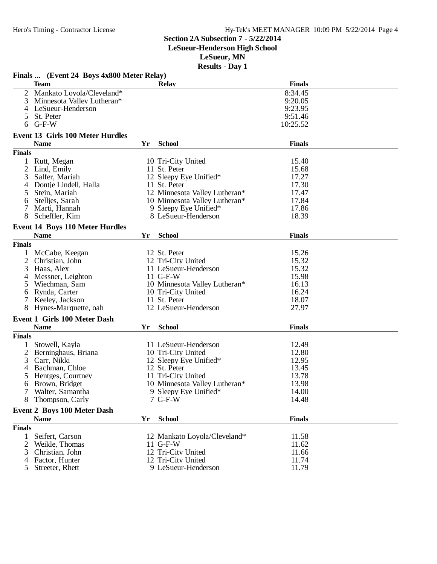**LeSueur-Henderson High School**

**LeSueur, MN**

|                | Finals  (Event 24 Boys 4x800 Meter Relay) |    |                               |               |  |
|----------------|-------------------------------------------|----|-------------------------------|---------------|--|
|                | <b>Team</b>                               |    | Relay                         | <b>Finals</b> |  |
| 2              | Mankato Loyola/Cleveland*                 |    |                               | 8:34.45       |  |
| 3              | Minnesota Valley Lutheran*                |    |                               | 9:20.05       |  |
| 4              | LeSueur-Henderson                         |    |                               | 9:23.95       |  |
| 5              | St. Peter                                 |    |                               | 9:51.46       |  |
|                |                                           |    |                               |               |  |
| 6              | $G-F-W$                                   |    |                               | 10:25.52      |  |
|                | <b>Event 13 Girls 100 Meter Hurdles</b>   |    |                               |               |  |
|                | <b>Name</b>                               | Yr | <b>School</b>                 | <b>Finals</b> |  |
| <b>Finals</b>  |                                           |    |                               |               |  |
|                | Rutt, Megan                               |    | 10 Tri-City United            | 15.40         |  |
| 2              | Lind, Emily                               |    | 11 St. Peter                  | 15.68         |  |
| 3              | Salfer, Mariah                            |    | 12 Sleepy Eye Unified*        | 17.27         |  |
| 4              | Dontje Lindell, Halla                     |    | 11 St. Peter                  | 17.30         |  |
|                |                                           |    | 12 Minnesota Valley Lutheran* |               |  |
| 5              | Stein, Mariah                             |    |                               | 17.47         |  |
| 6              | Stelljes, Sarah                           |    | 10 Minnesota Valley Lutheran* | 17.84         |  |
| 7              | Marti, Hannah                             |    | 9 Sleepy Eye Unified*         | 17.86         |  |
|                | Scheffler, Kim                            |    | 8 LeSueur-Henderson           | 18.39         |  |
|                | <b>Event 14 Boys 110 Meter Hurdles</b>    |    |                               |               |  |
|                | <b>Name</b>                               | Yr | <b>School</b>                 | <b>Finals</b> |  |
| <b>Finals</b>  |                                           |    |                               |               |  |
| 1              | McCabe, Keegan                            |    | 12 St. Peter                  | 15.26         |  |
| $\overline{2}$ | Christian, John                           |    | 12 Tri-City United            | 15.32         |  |
| 3              | Haas, Alex                                |    | 11 LeSueur-Henderson          | 15.32         |  |
|                |                                           |    |                               |               |  |
| 4              | Messner, Leighton                         |    | 11 G-F-W                      | 15.98         |  |
| $\mathcal{L}$  | Wiechman, Sam                             |    | 10 Minnesota Valley Lutheran* | 16.13         |  |
| 6              | Rynda, Carter                             |    | 10 Tri-City United            | 16.24         |  |
| 7              | Keeley, Jackson                           |    | 11 St. Peter                  | 18.07         |  |
| 8              | Hynes-Marquette, oah                      |    | 12 LeSueur-Henderson          | 27.97         |  |
|                | <b>Event 1 Girls 100 Meter Dash</b>       |    |                               |               |  |
|                | <b>Name</b>                               | Yr | <b>School</b>                 | <b>Finals</b> |  |
| <b>Finals</b>  |                                           |    |                               |               |  |
|                | Stowell, Kayla                            |    | 11 LeSueur-Henderson          | 12.49         |  |
| 2              | Berninghaus, Briana                       |    | 10 Tri-City United            | 12.80         |  |
| 3              | Carr, Nikki                               |    | 12 Sleepy Eye Unified*        | 12.95         |  |
| 4              | Bachman, Chloe                            |    | 12 St. Peter                  | 13.45         |  |
|                | Hentges, Courtney                         |    | 11 Tri-City United            | 13.78         |  |
|                |                                           |    |                               | 13.98         |  |
| 6              | Brown, Bridget                            |    | 10 Minnesota Valley Lutheran* |               |  |
|                | 7 Walter, Samantha                        |    | 9 Sleepy Eye Unified*         | 14.00         |  |
| 8              | Thompson, Carly                           |    | $7$ G-F-W                     | 14.48         |  |
|                | <b>Event 2 Boys 100 Meter Dash</b>        |    |                               |               |  |
|                | <b>Name</b>                               | Yr | <b>School</b>                 | <b>Finals</b> |  |
| <b>Finals</b>  |                                           |    |                               |               |  |
| $\mathbf{1}$   | Seifert, Carson                           |    | 12 Mankato Loyola/Cleveland*  | 11.58         |  |
| 2              | Weikle, Thomas                            |    | $11$ G-F-W                    | 11.62         |  |
| 3              | Christian, John                           |    | 12 Tri-City United            | 11.66         |  |
| 4              | Factor, Hunter                            |    | 12 Tri-City United            | 11.74         |  |
|                | 5 Streeter, Rhett                         |    | 9 LeSueur-Henderson           | 11.79         |  |
|                |                                           |    |                               |               |  |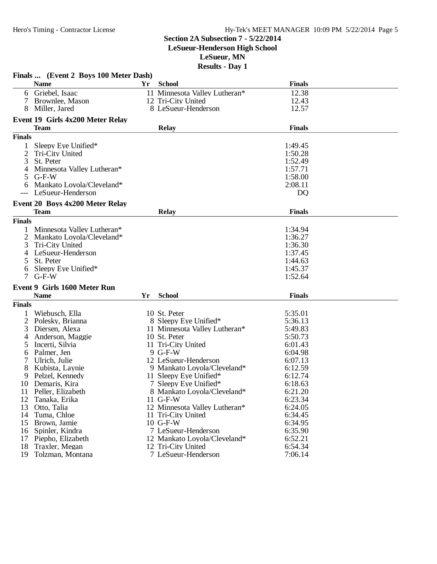**LeSueur-Henderson High School**

**LeSueur, MN**

|               | Finals  (Event 2 Boys 100 Meter Dash)           |    |                               |                    |  |
|---------------|-------------------------------------------------|----|-------------------------------|--------------------|--|
|               | <b>Name</b>                                     | Yr | <b>School</b>                 | <b>Finals</b>      |  |
| 6             | Griebel, Isaac                                  |    | 11 Minnesota Valley Lutheran* | 12.38              |  |
| 7             | Brownlee, Mason                                 |    | 12 Tri-City United            | 12.43              |  |
|               | Miller, Jared                                   |    | 8 LeSueur-Henderson           | 12.57              |  |
|               |                                                 |    |                               |                    |  |
|               | Event 19 Girls 4x200 Meter Relay<br><b>Team</b> |    | <b>Relay</b>                  | <b>Finals</b>      |  |
| <b>Finals</b> |                                                 |    |                               |                    |  |
|               |                                                 |    |                               |                    |  |
| 1             | Sleepy Eye Unified*                             |    |                               | 1:49.45            |  |
| 2             | Tri-City United                                 |    |                               | 1:50.28            |  |
| 3             | St. Peter                                       |    |                               | 1:52.49            |  |
| 4             | Minnesota Valley Lutheran*                      |    |                               | 1:57.71<br>1:58.00 |  |
| 5             | $G-F-W$<br>Mankato Loyola/Cleveland*            |    |                               | 2:08.11            |  |
| 6             | LeSueur-Henderson                               |    |                               | <b>DQ</b>          |  |
|               |                                                 |    |                               |                    |  |
|               | Event 20 Boys 4x200 Meter Relay                 |    |                               |                    |  |
|               | Team                                            |    | <b>Relay</b>                  | <b>Finals</b>      |  |
| <b>Finals</b> |                                                 |    |                               |                    |  |
|               | Minnesota Valley Lutheran*                      |    |                               | 1:34.94            |  |
| 2             | Mankato Loyola/Cleveland*                       |    |                               | 1:36.27            |  |
| 3             | Tri-City United                                 |    |                               | 1:36.30            |  |
| 4             | LeSueur-Henderson                               |    |                               | 1:37.45            |  |
| 5             | St. Peter                                       |    |                               | 1:44.63            |  |
| 6             | Sleepy Eye Unified*                             |    |                               | 1:45.37            |  |
|               | $G-F-W$                                         |    |                               | 1:52.64            |  |
|               | <b>Event 9 Girls 1600 Meter Run</b>             |    |                               |                    |  |
|               | <b>Name</b>                                     | Yr | <b>School</b>                 | <b>Finals</b>      |  |
| <b>Finals</b> |                                                 |    |                               |                    |  |
|               | Wiebusch, Ella                                  |    | 10 St. Peter                  | 5:35.01            |  |
| 2             | Polesky, Brianna                                |    | 8 Sleepy Eye Unified*         | 5:36.13            |  |
| 3             | Diersen, Alexa                                  |    | 11 Minnesota Valley Lutheran* | 5:49.83            |  |
| 4             | Anderson, Maggie                                |    | 10 St. Peter                  | 5:50.73            |  |
| 5             | Incerti, Silvia                                 |    | 11 Tri-City United            | 6:01.43            |  |
| 6             | Palmer, Jen                                     |    | 9 G-F-W                       | 6:04.98            |  |
| 7             | Ulrich, Julie                                   |    | 12 LeSueur-Henderson          | 6:07.13            |  |
| 8             | Kubista, Laynie                                 |    | 9 Mankato Loyola/Cleveland*   | 6:12.59            |  |
| 9             | Pelzel, Kennedy                                 |    | 11 Sleepy Eye Unified*        | 6:12.74            |  |
| 10            | Demaris, Kira                                   |    | 7 Sleepy Eye Unified*         | 6:18.63            |  |
| 11            | Peller, Elizabeth                               |    | 8 Mankato Loyola/Cleveland*   | 6:21.20            |  |
| 12            | Tanaka, Erika                                   |    | $11$ G-F-W                    | 6:23.34            |  |
| 13            | Otto, Talia                                     |    | 12 Minnesota Valley Lutheran* | 6:24.05            |  |
|               | 14 Tuma, Chloe                                  |    | 11 Tri-City United            | 6:34.45            |  |
|               | 15 Brown, Jamie                                 |    | 10 G-F-W                      | 6:34.95            |  |
| 16            | Spinler, Kindra                                 |    | 7 LeSueur-Henderson           | 6:35.90            |  |
| 17            | Piepho, Elizabeth                               |    | 12 Mankato Loyola/Cleveland*  | 6:52.21            |  |
| 18            | Traxler, Megan                                  |    | 12 Tri-City United            | 6:54.34            |  |
| 19            | Tolzman, Montana                                |    | 7 LeSueur-Henderson           | 7:06.14            |  |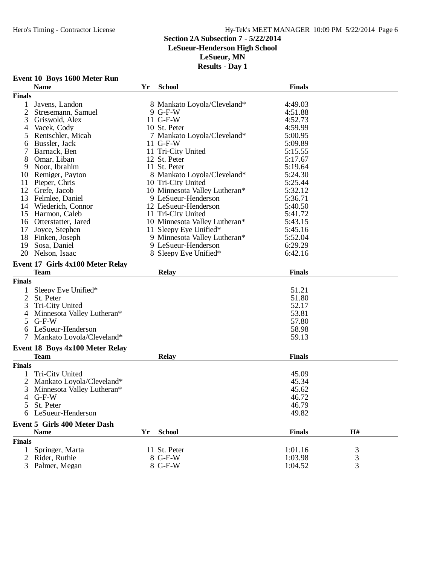#### **Section 2A Subsection 7 - 5/22/2014**

#### **LeSueur-Henderson High School**

**LeSueur, MN**

|                | Event 10 Boys 1600 Meter Run           |    |                               |               |    |  |
|----------------|----------------------------------------|----|-------------------------------|---------------|----|--|
|                | <b>Name</b>                            | Yr | <b>School</b>                 | <b>Finals</b> |    |  |
| <b>Finals</b>  |                                        |    |                               |               |    |  |
| 1              | Javens, Landon                         |    | 8 Mankato Loyola/Cleveland*   | 4:49.03       |    |  |
| 2              | Stresemann, Samuel                     |    | 9 G-F-W                       | 4:51.88       |    |  |
| 3              | Griswold, Alex                         |    | 11 G-F-W                      | 4:52.73       |    |  |
| 4              | Vacek, Cody                            |    | 10 St. Peter                  | 4:59.99       |    |  |
| 5              | Rentschler, Micah                      |    | 7 Mankato Loyola/Cleveland*   | 5:00.95       |    |  |
| 6              | Bussler, Jack                          |    | 11 G-F-W                      | 5:09.89       |    |  |
| 7              | Barnack, Ben                           |    | 11 Tri-City United            | 5:15.55       |    |  |
| 8              | Omar, Liban                            |    | 12 St. Peter                  | 5:17.67       |    |  |
| 9              | Noor, Ibrahim                          |    | 11 St. Peter                  | 5:19.64       |    |  |
| 10             | Remiger, Payton                        |    | 8 Mankato Loyola/Cleveland*   | 5:24.30       |    |  |
| 11             | Pieper, Chris                          |    | 10 Tri-City United            | 5:25.44       |    |  |
| 12             | Grefe, Jacob                           |    | 10 Minnesota Valley Lutheran* | 5:32.12       |    |  |
| 13             | Felmlee, Daniel                        |    | 9 LeSueur-Henderson           | 5:36.71       |    |  |
|                | 14 Wiederich, Connor                   |    | 12 LeSueur-Henderson          | 5:40.50       |    |  |
|                | 15 Harmon, Caleb                       |    | 11 Tri-City United            | 5:41.72       |    |  |
|                | 16 Otterstatter, Jared                 |    | 10 Minnesota Valley Lutheran* | 5:43.15       |    |  |
| 17             | Joyce, Stephen                         |    | 11 Sleepy Eye Unified*        | 5:45.16       |    |  |
|                | 18 Finken, Joseph                      |    | 9 Minnesota Valley Lutheran*  | 5:52.04       |    |  |
| 19             | Sosa, Daniel                           |    | 9 LeSueur-Henderson           | 6:29.29       |    |  |
|                | 20 Nelson, Isaac                       |    | 8 Sleepy Eye Unified*         | 6:42.16       |    |  |
|                |                                        |    |                               |               |    |  |
|                | Event 17 Girls 4x100 Meter Relay       |    |                               |               |    |  |
|                | <b>Team</b>                            |    | <b>Relay</b>                  | <b>Finals</b> |    |  |
| <b>Finals</b>  |                                        |    |                               |               |    |  |
| 1              | Sleepy Eye Unified*                    |    |                               | 51.21         |    |  |
| $\overline{2}$ | St. Peter                              |    |                               | 51.80         |    |  |
| 3              | Tri-City United                        |    |                               | 52.17         |    |  |
| 4              | Minnesota Valley Lutheran*             |    |                               | 53.81         |    |  |
| 5              | $G-F-W$                                |    |                               | 57.80         |    |  |
| 6              | LeSueur-Henderson                      |    |                               | 58.98         |    |  |
| 7              | Mankato Loyola/Cleveland*              |    |                               | 59.13         |    |  |
|                |                                        |    |                               |               |    |  |
|                | <b>Event 18 Boys 4x100 Meter Relay</b> |    |                               |               |    |  |
|                | <b>Team</b>                            |    | <b>Relay</b>                  | <b>Finals</b> |    |  |
| <b>Finals</b>  |                                        |    |                               |               |    |  |
| 1              | Tri-City United                        |    |                               | 45.09         |    |  |
|                | Mankato Loyola/Cleveland*              |    |                               | 45.34         |    |  |
| 3              | Minnesota Valley Lutheran*             |    |                               | 45.62         |    |  |
|                | 4 G-F-W                                |    |                               | 46.72         |    |  |
|                | 5 St. Peter                            |    |                               | 46.79         |    |  |
|                | 6 LeSueur-Henderson                    |    |                               | 49.82         |    |  |
|                |                                        |    |                               |               |    |  |
|                | <b>Event 5 Girls 400 Meter Dash</b>    |    |                               |               |    |  |
|                | <b>Name</b>                            | Yr | <b>School</b>                 | <b>Finals</b> | H# |  |
| <b>Finals</b>  |                                        |    |                               |               |    |  |
| $\mathbf{1}$   | Springer, Marta                        |    | 11 St. Peter                  | 1:01.16       | 3  |  |
|                | 2 Rider, Ruthie                        |    | 8 G-F-W                       | 1:03.98       | 3  |  |
|                | 3 Palmer, Megan                        |    | 8 G-F-W                       | 1:04.52       | 3  |  |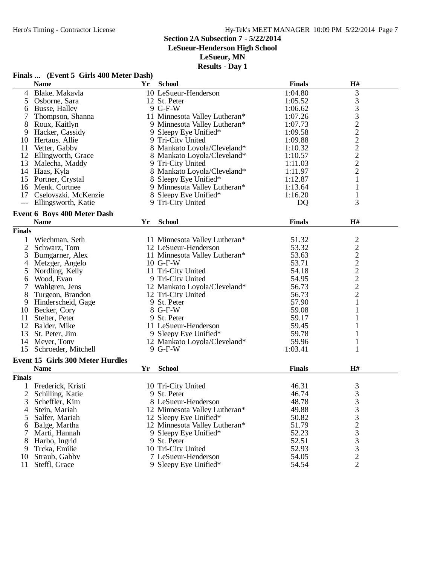**LeSueur-Henderson High School**

**LeSueur, MN**

**Results - Day 1**

|                     | <b>OHID TOO INTERED DUDLE</b><br><b>Name</b> |    | Yr School                     | <b>Finals</b>  | H#                                         |  |
|---------------------|----------------------------------------------|----|-------------------------------|----------------|--------------------------------------------|--|
|                     | 4 Blake, Makayla                             |    | 10 LeSueur-Henderson          | 1:04.80        | 3                                          |  |
| 5                   | Osborne, Sara                                |    | 12 St. Peter                  | 1:05.52        |                                            |  |
| 6                   | Busse, Halley                                |    | 9 G-F-W                       | 1:06.62        | $\frac{3}{3}$                              |  |
| 7                   | Thompson, Shanna                             |    | 11 Minnesota Valley Lutheran* | 1:07.26        |                                            |  |
| 8                   | Roux, Kaitlyn                                |    | 9 Minnesota Valley Lutheran*  | 1:07.73        |                                            |  |
|                     | 9 Hacker, Cassidy                            |    | 9 Sleepy Eye Unified*         | 1:09.58        |                                            |  |
|                     | 10 Hertaus, Allie                            |    | 9 Tri-City United             | 1:09.88        |                                            |  |
| 11                  | Vetter, Gabby                                |    | 8 Mankato Loyola/Cleveland*   | 1:10.32        |                                            |  |
|                     | 12 Ellingworth, Grace                        |    | 8 Mankato Loyola/Cleveland*   | 1:10.57        | 3222222                                    |  |
|                     | 13 Malecha, Maddy                            |    | 9 Tri-City United             | 1:11.03        |                                            |  |
|                     | 14 Haas, Kyla                                |    | 8 Mankato Loyola/Cleveland*   | 1:11.97        | $\overline{2}$                             |  |
|                     | 15 Portner, Crystal                          |    | 8 Sleepy Eye Unified*         | 1:12.87        | $\mathbf{1}$                               |  |
|                     | 16 Menk, Cortnee                             |    | 9 Minnesota Valley Lutheran*  | 1:13.64        | $\mathbf 1$                                |  |
|                     | 17 Cselovszki, McKenzie                      |    | 8 Sleepy Eye Unified*         | 1:16.20        | $\mathbf{1}$                               |  |
| $\qquad \qquad - -$ | Ellingsworth, Katie                          |    | 9 Tri-City United             | D <sub>Q</sub> | 3                                          |  |
|                     | <b>Event 6 Boys 400 Meter Dash</b>           |    |                               |                |                                            |  |
|                     | <b>Name</b>                                  | Yr | <b>School</b>                 | <b>Finals</b>  | H#                                         |  |
| <b>Finals</b>       |                                              |    |                               |                |                                            |  |
| 1                   | Wiechman, Seth                               |    | 11 Minnesota Valley Lutheran* | 51.32          |                                            |  |
| $\overline{2}$      | Schwarz, Tom                                 |    | 12 LeSueur-Henderson          | 53.32          | $\frac{2}{2}$                              |  |
| 3                   | Bumgarner, Alex                              |    | 11 Minnesota Valley Lutheran* | 53.63          |                                            |  |
|                     | 4 Metzger, Angelo                            |    | $10$ G-F-W                    | 53.71          | $\frac{2}{2}$                              |  |
| 5                   | Nordling, Kelly                              |    | 11 Tri-City United            | 54.18          |                                            |  |
| 6                   | Wood, Evan                                   |    | 9 Tri-City United             | 54.95          | $\begin{array}{c} 2 \\ 2 \\ 2 \end{array}$ |  |
| 7                   | Wahlgren, Jens                               |    | 12 Mankato Loyola/Cleveland*  | 56.73          |                                            |  |
| 8                   | Turgeon, Brandon                             |    | 12 Tri-City United            | 56.73          | $\sqrt{2}$                                 |  |
| 9                   | Hinderscheid, Gage                           |    | 9 St. Peter                   | 57.90          | 1                                          |  |
|                     | 10 Becker, Cory                              |    | 8 G-F-W                       | 59.08          | 1                                          |  |
| 11                  | Stelter, Peter                               |    | 9 St. Peter                   | 59.17          | 1                                          |  |
|                     | 12 Balder, Mike                              |    | 11 LeSueur-Henderson          | 59.45          | 1                                          |  |
|                     | 13 St. Peter, Jim                            |    | 9 Sleepy Eye Unified*         | 59.78          | 1                                          |  |
|                     | 14 Meyer, Tony                               |    | 12 Mankato Loyola/Cleveland*  | 59.96          | 1                                          |  |
|                     | 15 Schroeder, Mitchell                       |    | 9 G-F-W                       | 1:03.41        | 1                                          |  |
|                     | <b>Event 15 Girls 300 Meter Hurdles</b>      |    |                               |                |                                            |  |
|                     | <b>Name</b>                                  | Yr | <b>School</b>                 | <b>Finals</b>  | H#                                         |  |
| <b>Finals</b>       |                                              |    |                               |                |                                            |  |
|                     | 1 Frederick, Kristi                          |    | 10 Tri-City United            | 46.31          | 3                                          |  |
| $\overline{2}$      | Schilling, Katie                             |    | 9 St. Peter                   | 46.74          | 3                                          |  |
| 3                   | Scheffler, Kim                               |    | 8 LeSueur-Henderson           | 48.78          | 3                                          |  |
| 4                   | Stein, Mariah                                |    | 12 Minnesota Valley Lutheran* | 49.88          | 3                                          |  |
| 5                   | Salfer, Mariah                               |    | 12 Sleepy Eye Unified*        | 50.82          | 3                                          |  |
| 6                   | Balge, Martha                                |    | 12 Minnesota Valley Lutheran* | 51.79          |                                            |  |
|                     | Marti, Hannah                                |    | 9 Sleepy Eye Unified*         | 52.23          | $\frac{2}{3}$                              |  |
| 8                   | Harbo, Ingrid                                |    | 9 St. Peter                   | 52.51          | $\mathfrak{Z}$                             |  |
| 9                   | Trcka, Emilie                                |    | 10 Tri-City United            | 52.93          | $\mathfrak{Z}$                             |  |
| 10                  | Straub, Gabby                                |    | 7 LeSueur-Henderson           | 54.05          | $\sqrt{2}$                                 |  |
| 11                  | Steffl, Grace                                |    | 9 Sleepy Eye Unified*         | 54.54          | $\overline{2}$                             |  |
|                     |                                              |    |                               |                |                                            |  |

#### **Finals ... (Event 5 Girls 400 Meter Dash)**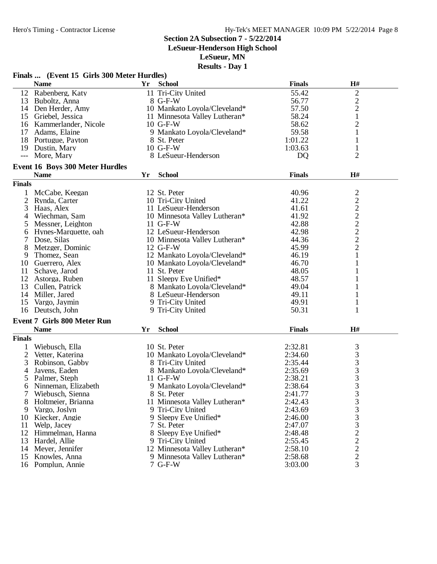**LeSueur-Henderson High School**

**LeSueur, MN**

| Finals  (Event 15 Girls 300 Meter Hurdles) |                                    |    |                               |               |                |  |
|--------------------------------------------|------------------------------------|----|-------------------------------|---------------|----------------|--|
|                                            | <b>Name</b>                        | Yr | <b>School</b>                 | <b>Finals</b> | H#             |  |
|                                            | 12 Rabenberg, Katy                 |    | 11 Tri-City United            | 55.42         | $\overline{c}$ |  |
|                                            | 13 Buboltz, Anna                   |    | 8 G-F-W                       | 56.77         | $\overline{c}$ |  |
|                                            | 14 Den Herder, Amy                 |    | 10 Mankato Loyola/Cleveland*  | 57.50         | $\overline{c}$ |  |
|                                            | 15 Griebel, Jessica                |    | 11 Minnesota Valley Lutheran* | 58.24         | $\mathbf{1}$   |  |
|                                            | 16 Kammerlander, Nicole            |    | $10$ G-F-W                    | 58.62         | $\overline{2}$ |  |
|                                            | 17 Adams, Elaine                   |    | 9 Mankato Loyola/Cleveland*   | 59.58         | $\mathbf{1}$   |  |
|                                            | 18 Portugue, Payton                |    | 8 St. Peter                   | 1:01.22       | $\mathbf{1}$   |  |
|                                            | 19 Dustin, Mary                    |    | 10 G-F-W                      | 1:03.63       | $\mathbf{1}$   |  |
| $\frac{1}{2}$                              | More, Mary                         |    | 8 LeSueur-Henderson           | DQ            | $\overline{2}$ |  |
|                                            |                                    |    |                               |               |                |  |
|                                            | Event 16 Boys 300 Meter Hurdles    |    |                               |               |                |  |
|                                            | <b>Name</b>                        | Yr | <b>School</b>                 | <b>Finals</b> | H#             |  |
| <b>Finals</b>                              |                                    |    |                               |               |                |  |
|                                            | McCabe, Keegan                     |    | 12 St. Peter                  | 40.96         | $\frac{2}{2}$  |  |
| 2                                          | Rynda, Carter                      |    | 10 Tri-City United            | 41.22         |                |  |
| 3                                          | Haas, Alex                         |    | 11 LeSueur-Henderson          | 41.61         | $\overline{c}$ |  |
| 4                                          | Wiechman, Sam                      |    | 10 Minnesota Valley Lutheran* | 41.92         | $\overline{c}$ |  |
| 5                                          | Messner, Leighton                  |    | 11 G-F-W                      | 42.88         | $\overline{c}$ |  |
| 6                                          | Hynes-Marquette, oah               |    | 12 LeSueur-Henderson          | 42.98         | $\overline{c}$ |  |
|                                            | Dose, Silas                        |    | 10 Minnesota Valley Lutheran* | 44.36         | $\overline{c}$ |  |
| 8                                          | Metzger, Dominic                   |    | 12 G-F-W                      | 45.99         | $\overline{2}$ |  |
| 9                                          | Thomez, Sean                       |    | 12 Mankato Loyola/Cleveland*  | 46.19         | $\mathbf{1}$   |  |
|                                            | 10 Guerrero, Alex                  |    | 10 Mankato Loyola/Cleveland*  | 46.70         | $\mathbf{1}$   |  |
| 11                                         | Schave, Jarod                      |    | 11 St. Peter                  | 48.05         | 1              |  |
|                                            | 12 Astorga, Ruben                  |    | 11 Sleepy Eye Unified*        | 48.57         | 1              |  |
| 13                                         | Cullen, Patrick                    |    | 8 Mankato Loyola/Cleveland*   | 49.04         | 1              |  |
|                                            | 14 Miller, Jared                   |    | 8 LeSueur-Henderson           | 49.11         | 1              |  |
| 15                                         | Vargo, Jaymin                      |    |                               | 49.91         |                |  |
|                                            |                                    |    | 9 Tri-City United             | 50.31         | 1<br>1         |  |
|                                            | 16 Deutsch, John                   |    | 9 Tri-City United             |               |                |  |
|                                            | <b>Event 7 Girls 800 Meter Run</b> |    |                               |               |                |  |
|                                            | <b>Name</b>                        | Yr | <b>School</b>                 | <b>Finals</b> | H#             |  |
| <b>Finals</b>                              |                                    |    |                               |               |                |  |
| 1                                          | Wiebusch, Ella                     |    | 10 St. Peter                  | 2:32.81       | 3              |  |
| 2                                          | Vetter, Katerina                   |    | 10 Mankato Loyola/Cleveland*  | 2:34.60       | 3              |  |
| 3                                          | Robinson, Gabby                    |    | 8 Tri-City United             | 2:35.44       | 3              |  |
| 4                                          | Javens, Eaden                      |    | 8 Mankato Loyola/Cleveland*   | 2:35.69       | 3              |  |
| 5                                          | Palmer, Steph                      |    | 11 G-F-W                      | 2:38.21       | 3              |  |
| 6                                          | Ninneman, Elizabeth                |    | 9 Mankato Loyola/Cleveland*   | 2:38.64       | 3              |  |
|                                            | Wiebusch, Sienna                   |    | 8 St. Peter                   | 2:41.77       | 3              |  |
| 8                                          | Holtmeier, Brianna                 |    | 11 Minnesota Valley Lutheran* | 2:42.43       | 3              |  |
| 9                                          | Vargo, Joslyn                      |    | 9 Tri-City United             | 2:43.69       | 3              |  |
| 10                                         | Kiecker, Angie                     |    | 9 Sleepy Eye Unified*         | 2:46.00       | 3              |  |
| 11                                         | Welp, Jacey                        |    | 7 St. Peter                   | 2:47.07       | 3              |  |
| 12                                         | Himmelman, Hanna                   |    | 8 Sleepy Eye Unified*         | 2:48.48       | $\overline{c}$ |  |
| 13                                         | Hardel, Allie                      |    | 9 Tri-City United             | 2:55.45       | $\overline{c}$ |  |
| 14                                         | Meyer, Jennifer                    |    | 12 Minnesota Valley Lutheran* | 2:58.10       | $\overline{c}$ |  |
| 15                                         | Knowles, Anna                      |    | 9 Minnesota Valley Lutheran*  | 2:58.68       | $\overline{c}$ |  |
|                                            | 16 Pomplun, Annie                  |    | 7 G-F-W                       | 3:03.00       | 3              |  |
|                                            |                                    |    |                               |               |                |  |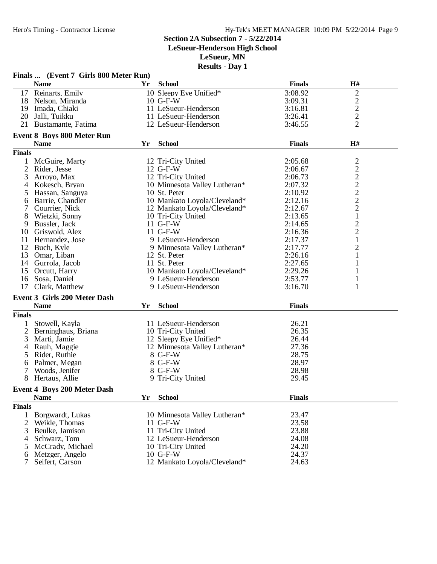**LeSueur-Henderson High School**

**LeSueur, MN**

|                | Finals  (Event 7 Girls 800 Meter Run)            |    |                               |               |                  |  |  |
|----------------|--------------------------------------------------|----|-------------------------------|---------------|------------------|--|--|
|                | <b>Name</b>                                      | Yr | <b>School</b>                 | <b>Finals</b> | H#               |  |  |
|                | 17 Reinarts, Emily                               |    | 10 Sleepy Eye Unified*        | 3:08.92       | $\overline{c}$   |  |  |
| 18             | Nelson, Miranda                                  |    | $10$ G-F-W                    | 3:09.31       |                  |  |  |
| 19             | Imada, Chiaki                                    |    | 11 LeSueur-Henderson          | 3:16.81       | $\frac{2}{2}$    |  |  |
| 20             | Jalli, Tuikku                                    |    | 11 LeSueur-Henderson          | 3:26.41       |                  |  |  |
|                | 21 Bustamante, Fatima                            |    | 12 LeSueur-Henderson          | 3:46.55       | $\overline{2}$   |  |  |
|                |                                                  |    |                               |               |                  |  |  |
|                | <b>Event 8 Boys 800 Meter Run</b><br><b>Name</b> | Yr | <b>School</b>                 | <b>Finals</b> | H#               |  |  |
| <b>Finals</b>  |                                                  |    |                               |               |                  |  |  |
|                |                                                  |    |                               |               |                  |  |  |
| 1              | McGuire, Marty                                   |    | 12 Tri-City United            | 2:05.68       | $22222$<br>$222$ |  |  |
| $\overline{2}$ | Rider, Jesse                                     |    | 12 G-F-W                      | 2:06.67       |                  |  |  |
| 3              | Arroyo, Max                                      |    | 12 Tri-City United            | 2:06.73       |                  |  |  |
| 4              | Kokesch, Bryan                                   |    | 10 Minnesota Valley Lutheran* | 2:07.32       |                  |  |  |
| 5              | Hassan, Sanguya                                  |    | 10 St. Peter                  | 2:10.92       |                  |  |  |
| 6              | Barrie, Chandler                                 |    | 10 Mankato Loyola/Cleveland*  | 2:12.16       |                  |  |  |
|                | Courrier, Nick                                   |    | 12 Mankato Loyola/Cleveland*  | 2:12.67       |                  |  |  |
| 8              | Wietzki, Sonny                                   |    | 10 Tri-City United            | 2:13.65       | $\mathbf{1}$     |  |  |
| 9              | Bussler, Jack                                    |    | $11$ G-F-W                    | 2:14.65       | $\overline{c}$   |  |  |
| 10             | Griswold, Alex                                   |    | 11 G-F-W                      | 2:16.36       | $\overline{c}$   |  |  |
| 11             | Hernandez, Jose                                  |    | 9 LeSueur-Henderson           | 2:17.37       | $\mathbf 1$      |  |  |
|                | 12 Buch, Kyle                                    |    | 9 Minnesota Valley Lutheran*  | 2:17.77       | $\overline{c}$   |  |  |
| 13             | Omar, Liban                                      |    | 12 St. Peter                  | 2:26.16       | $\mathbf{1}$     |  |  |
| 14             | Gurrola, Jacob                                   |    | 11 St. Peter                  | 2:27.65       | 1                |  |  |
| 15             | Orcutt, Harry                                    |    | 10 Mankato Loyola/Cleveland*  | 2:29.26       | $\mathbf{1}$     |  |  |
| 16             | Sosa, Daniel                                     |    | 9 LeSueur-Henderson           | 2:53.77       | $\mathbf{1}$     |  |  |
| 17             | Clark, Matthew                                   |    | 9 LeSueur-Henderson           | 3:16.70       | 1                |  |  |
|                | <b>Event 3 Girls 200 Meter Dash</b>              |    |                               |               |                  |  |  |
|                | <b>Name</b>                                      | Yr | <b>School</b>                 | <b>Finals</b> |                  |  |  |
| <b>Finals</b>  |                                                  |    |                               |               |                  |  |  |
|                | Stowell, Kayla                                   |    | 11 LeSueur-Henderson          | 26.21         |                  |  |  |
| 2              | Berninghaus, Briana                              |    | 10 Tri-City United            | 26.35         |                  |  |  |
| 3              | Marti, Jamie                                     |    | 12 Sleepy Eye Unified*        | 26.44         |                  |  |  |
| 4              | Rauh, Maggie                                     |    | 12 Minnesota Valley Lutheran* | 27.36         |                  |  |  |
| 5              | Rider, Ruthie                                    |    | 8 G-F-W                       | 28.75         |                  |  |  |
| 6              | Palmer, Megan                                    |    | 8 G-F-W                       | 28.97         |                  |  |  |
| 7              | Woods, Jenifer                                   |    | 8 G-F-W                       | 28.98         |                  |  |  |
| 8              | Hertaus, Allie                                   |    | 9 Tri-City United             | 29.45         |                  |  |  |
|                |                                                  |    |                               |               |                  |  |  |
|                | <b>Event 4 Boys 200 Meter Dash</b>               |    |                               |               |                  |  |  |
|                | <b>Name</b>                                      | Yr | <b>School</b>                 | <b>Finals</b> |                  |  |  |
| <b>Finals</b>  |                                                  |    |                               |               |                  |  |  |
| $\mathbf{1}$   | Borgwardt, Lukas                                 |    | 10 Minnesota Valley Lutheran* | 23.47         |                  |  |  |
| $\overline{2}$ | Weikle, Thomas                                   |    | $11$ G-F-W                    | 23.58         |                  |  |  |
| 3              | Beulke, Jamison                                  |    | 11 Tri-City United            | 23.88         |                  |  |  |
| 4              | Schwarz, Tom                                     |    | 12 LeSueur-Henderson          | 24.08         |                  |  |  |
| 5              | McCrady, Michael                                 |    | 10 Tri-City United            | 24.20         |                  |  |  |
| 6              | Metzger, Angelo                                  |    | 10 G-F-W                      | 24.37         |                  |  |  |
|                | Seifert, Carson                                  |    | 12 Mankato Loyola/Cleveland*  | 24.63         |                  |  |  |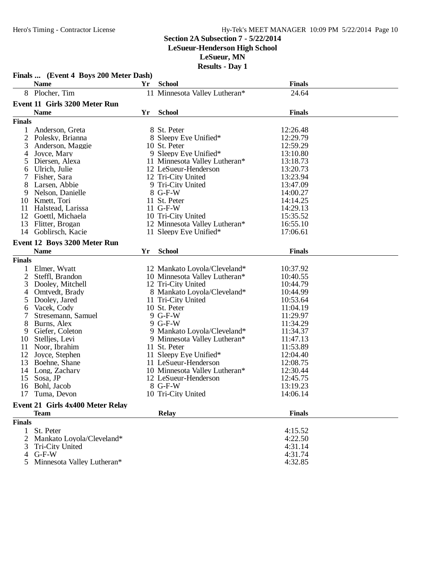# **Section 2A Subsection 7 - 5/22/2014**

### **LeSueur-Henderson High School**

**LeSueur, MN**

|                | Finals  (Event 4 Boys 200 Meter Dash) |    |                               |               |  |
|----------------|---------------------------------------|----|-------------------------------|---------------|--|
|                | <b>Name</b>                           | Yr | <b>School</b>                 | <b>Finals</b> |  |
|                | 8 Plocher, Tim                        |    | 11 Minnesota Valley Lutheran* | 24.64         |  |
|                | <b>Event 11 Girls 3200 Meter Run</b>  |    |                               |               |  |
|                | <b>Name</b>                           | Yr | <b>School</b>                 | <b>Finals</b> |  |
| <b>Finals</b>  |                                       |    |                               |               |  |
| 1              | Anderson, Greta                       |    | 8 St. Peter                   | 12:26.48      |  |
| $\overline{c}$ | Polesky, Brianna                      |    | 8 Sleepy Eye Unified*         | 12:29.79      |  |
| 3              | Anderson, Maggie                      |    | 10 St. Peter                  | 12:59.29      |  |
| 4              | Joyce, Mary                           |    | 9 Sleepy Eye Unified*         | 13:10.80      |  |
| 5              | Diersen, Alexa                        |    | 11 Minnesota Valley Lutheran* | 13:18.73      |  |
| 6              | Ulrich, Julie                         |    | 12 LeSueur-Henderson          | 13:20.73      |  |
| 7              | Fisher, Sara                          |    | 12 Tri-City United            | 13:23.94      |  |
| 8              | Larsen, Abbie                         |    | 9 Tri-City United             | 13:47.09      |  |
| 9              | Nelson, Danielle                      |    | 8 G-F-W                       | 14:00.27      |  |
| 10             | Kmett, Tori                           |    | 11 St. Peter                  | 14:14.25      |  |
| 11             | Halstead, Larissa                     |    | 11 G-F-W                      | 14:29.13      |  |
| 12             | Goettl, Michaela                      |    | 10 Tri-City United            | 15:35.52      |  |
| 13             | Flitter, Brogan                       |    | 12 Minnesota Valley Lutheran* | 16:55.10      |  |
| 14             | Goblirsch, Kacie                      |    | 11 Sleepy Eye Unified*        | 17:06.61      |  |
|                | Event 12 Boys 3200 Meter Run          |    |                               |               |  |
|                | <b>Name</b>                           | Yr | <b>School</b>                 | <b>Finals</b> |  |
| <b>Finals</b>  |                                       |    |                               |               |  |
| $\mathbf{1}$   | Elmer, Wyatt                          |    | 12 Mankato Loyola/Cleveland*  | 10:37.92      |  |
| $\overline{c}$ | Steffl, Brandon                       |    | 10 Minnesota Valley Lutheran* | 10:40.55      |  |
| 3              | Dooley, Mitchell                      |    | 12 Tri-City United            | 10:44.79      |  |
| 4              | Omtvedt, Brady                        |    | 8 Mankato Loyola/Cleveland*   | 10:44.99      |  |
| 5              | Dooley, Jared                         |    | 11 Tri-City United            | 10:53.64      |  |
| 6              | Vacek, Cody                           |    | 10 St. Peter                  | 11:04.19      |  |
| 7              | Stresemann, Samuel                    |    | 9 G-F-W                       | 11:29.97      |  |
| 8              | Burns, Alex                           |    | 9 G-F-W                       | 11:34.29      |  |
| 9              | Giefer, Coleton                       |    | 9 Mankato Loyola/Cleveland*   | 11:34.37      |  |
| 10             | Stelljes, Levi                        |    | 9 Minnesota Valley Lutheran*  | 11:47.13      |  |
| 11             | Noor, Ibrahim                         |    | 11 St. Peter                  | 11:53.89      |  |
| 12             | Joyce, Stephen                        |    | 11 Sleepy Eye Unified*        | 12:04.40      |  |
| 13             | Boehne, Shane                         |    | 11 LeSueur-Henderson          | 12:08.75      |  |
| 14             | Long, Zachary                         |    | 10 Minnesota Valley Lutheran* | 12:30.44      |  |
| 15             | Sosa, JP                              |    | 12 LeSueur-Henderson          | 12:45.75      |  |
| 16             | Bohl, Jacob                           |    | 8 G-F-W                       | 13:19.23      |  |
|                | 17 Tuma, Devon                        |    | 10 Tri-City United            | 14:06.14      |  |
|                | Event 21 Girls 4x400 Meter Relay      |    |                               |               |  |
|                | <b>Team</b>                           |    | <b>Relay</b>                  | <b>Finals</b> |  |
| <b>Finals</b>  |                                       |    |                               |               |  |
| $\mathbf{1}$   | St. Peter                             |    |                               | 4:15.52       |  |
|                | Mankato Loyola/Cleveland*             |    |                               | 4:22.50       |  |
| 3              | Tri-City United                       |    |                               | 4:31.14       |  |
| 4              | $G-F-W$                               |    |                               | 4:31.74       |  |
|                | Minnesota Valley Lutheran*            |    |                               | 4:32.85       |  |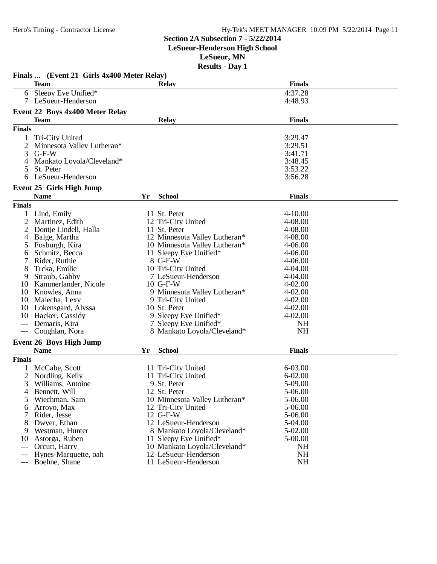#### Hero's Timing - Contractor License Hy-Tek's MEET MANAGER 10:09 PM 5/22/2014 Page 11

#### **Section 2A Subsection 7 - 5/22/2014**

**LeSueur-Henderson High School**

**LeSueur, MN**

|                | Finals  (Event 21 Girls 4x400 Meter Relay) |    | IWOULLO - D'AY I                  |                            |  |
|----------------|--------------------------------------------|----|-----------------------------------|----------------------------|--|
|                | <b>Team</b>                                |    | <b>Relay</b>                      | <b>Finals</b>              |  |
|                | 6 Sleepy Eye Unified*                      |    |                                   | 4:37.28                    |  |
|                | 7 LeSueur-Henderson                        |    |                                   | 4:48.93                    |  |
|                | Event 22 Boys 4x400 Meter Relay            |    |                                   |                            |  |
|                | <b>Team</b>                                |    | <b>Relay</b>                      | <b>Finals</b>              |  |
| <b>Finals</b>  |                                            |    |                                   |                            |  |
| 1              | Tri-City United                            |    |                                   | 3:29.47                    |  |
| $\overline{c}$ | Minnesota Valley Lutheran*                 |    |                                   | 3:29.51                    |  |
| 3              | $G-F-W$                                    |    |                                   | 3:41.71                    |  |
| $\overline{4}$ | Mankato Loyola/Cleveland*                  |    |                                   | 3:48.45                    |  |
| 5              | St. Peter                                  |    |                                   | 3:53.22                    |  |
| 6              | LeSueur-Henderson                          |    |                                   | 3:56.28                    |  |
|                |                                            |    |                                   |                            |  |
|                | Event 25 Girls High Jump                   |    |                                   |                            |  |
|                | <b>Name</b>                                | Yr | <b>School</b>                     | <b>Finals</b>              |  |
| <b>Finals</b>  |                                            |    |                                   |                            |  |
|                | Lind, Emily                                |    | 11 St. Peter                      | $4 - 10.00$                |  |
| 2              | Martinez, Edith                            |    | 12 Tri-City United                | 4-08.00                    |  |
| 2              | Dontje Lindell, Halla                      |    | 11 St. Peter                      | 4-08.00                    |  |
| 4              | Balge, Martha                              |    | 12 Minnesota Valley Lutheran*     | 4-08.00                    |  |
| 5              | Fosburgh, Kira                             |    | 10 Minnesota Valley Lutheran*     | $4 - 06.00$                |  |
| 6              | Schmitz, Becca                             |    | 11 Sleepy Eye Unified*            | $4 - 06.00$                |  |
| 7              | Rider, Ruthie                              |    | 8 G-F-W                           | $4 - 06.00$                |  |
| 8              | Trcka, Emilie                              |    | 10 Tri-City United                | 4-04.00                    |  |
| 9              | Straub, Gabby                              |    | 7 LeSueur-Henderson               | 4-04.00                    |  |
| 10             | Kammerlander, Nicole                       |    | 10 G-F-W                          | $4 - 02.00$                |  |
|                | 10 Knowles, Anna                           |    | 9 Minnesota Valley Lutheran*      | $4 - 02.00$                |  |
| 10<br>10       | Malecha, Lexy                              |    | 9 Tri-City United<br>10 St. Peter | $4 - 02.00$<br>$4 - 02.00$ |  |
| 10             | Lokensgard, Alyssa<br>Hacker, Cassidy      |    | 9 Sleepy Eye Unified*             | $4 - 02.00$                |  |
| $---$          | Demaris, Kira                              |    | 7 Sleepy Eye Unified*             | <b>NH</b>                  |  |
| $---$          | Coughlan, Nora                             |    | 8 Mankato Loyola/Cleveland*       | <b>NH</b>                  |  |
|                |                                            |    |                                   |                            |  |
|                | <b>Event 26 Boys High Jump</b>             |    |                                   |                            |  |
|                | <b>Name</b>                                | Yr | <b>School</b>                     | <b>Finals</b>              |  |
| <b>Finals</b>  |                                            |    |                                   |                            |  |
|                | McCabe, Scott                              |    | 11 Tri-City United                | 6-03.00                    |  |
| 2              | Nordling, Kelly                            |    | 11 Tri-City United                | $6 - 02.00$                |  |
| 3              | Williams, Antoine                          |    | 9 St. Peter                       | 5-09.00                    |  |
| 4              | Bennett, Will                              |    | 12 St. Peter                      | 5-06.00                    |  |
| 5              | Wiechman, Sam                              |    | 10 Minnesota Valley Lutheran*     | 5-06.00                    |  |
| 6              | Arroyo, Max                                |    | 12 Tri-City United                | 5-06.00                    |  |
|                | Rider, Jesse                               |    | 12 G-F-W                          | 5-06.00                    |  |
| 8              | Dwyer, Ethan                               |    | 12 LeSueur-Henderson              | 5-04.00                    |  |
| 9              | Westman, Hunter                            |    | 8 Mankato Loyola/Cleveland*       | 5-02.00                    |  |
| 10             | Astorga, Ruben                             |    | 11 Sleepy Eye Unified*            | 5-00.00                    |  |
| $---$          | Orcutt, Harry                              |    | 10 Mankato Loyola/Cleveland*      | <b>NH</b>                  |  |
| $---$          | Hynes-Marquette, oah                       |    | 12 LeSueur-Henderson              | <b>NH</b>                  |  |
| $---$          | Boehne, Shane                              |    | 11 LeSueur-Henderson              | NH                         |  |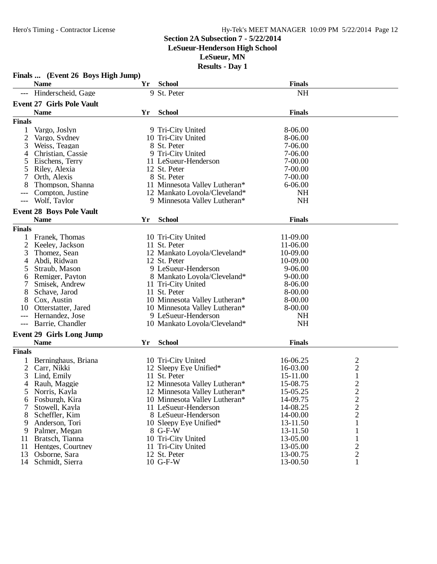#### **Section 2A Subsection 7 - 5/22/2014**

**LeSueur-Henderson High School**

**LeSueur, MN**

|                | Finals  (Event 26 Boys High Jump) |    |                               |               |                |
|----------------|-----------------------------------|----|-------------------------------|---------------|----------------|
|                | <b>Name</b>                       | Yr | <b>School</b>                 | <b>Finals</b> |                |
|                | Hinderscheid, Gage                |    | 9 St. Peter                   | <b>NH</b>     |                |
|                | <b>Event 27 Girls Pole Vault</b>  |    |                               |               |                |
|                | <b>Name</b>                       | Yr | <b>School</b>                 | <b>Finals</b> |                |
| <b>Finals</b>  |                                   |    |                               |               |                |
|                |                                   |    |                               |               |                |
| 1              | Vargo, Joslyn                     |    | 9 Tri-City United             | 8-06.00       |                |
| $\overline{2}$ | Vargo, Sydney                     |    | 10 Tri-City United            | 8-06.00       |                |
| 3              | Weiss, Teagan                     |    | 8 St. Peter                   | 7-06.00       |                |
| 4              | Christian, Cassie                 |    | 9 Tri-City United             | 7-06.00       |                |
| 5              | Eischens, Terry                   |    | 11 LeSueur-Henderson          | 7-00.00       |                |
|                | Riley, Alexia                     |    | 12 St. Peter                  | 7-00.00       |                |
|                | Orth, Alexis                      |    | 8 St. Peter                   | 7-00.00       |                |
| 8              | Thompson, Shanna                  |    | 11 Minnesota Valley Lutheran* | $6 - 06.00$   |                |
|                | Compton, Justine                  |    | 12 Mankato Loyola/Cleveland*  | <b>NH</b>     |                |
| $---$          | Wolf, Taylor                      |    | 9 Minnesota Valley Lutheran*  | <b>NH</b>     |                |
|                | <b>Event 28 Boys Pole Vault</b>   |    |                               |               |                |
|                | <b>Name</b>                       | Yr | <b>School</b>                 | <b>Finals</b> |                |
| <b>Finals</b>  |                                   |    |                               |               |                |
|                | Franek, Thomas                    |    | 10 Tri-City United            | 11-09.00      |                |
| 2              | Keeley, Jackson                   |    | 11 St. Peter                  | 11-06.00      |                |
| 3              | Thomez, Sean                      |    | 12 Mankato Loyola/Cleveland*  | 10-09.00      |                |
| 4              | Abdi, Ridwan                      |    | 12 St. Peter                  | 10-09.00      |                |
| 5              | Straub, Mason                     |    | 9 LeSueur-Henderson           | $9 - 06.00$   |                |
| 6              | Remiger, Payton                   |    | 8 Mankato Loyola/Cleveland*   | $9 - 00.00$   |                |
| 7              | Smisek, Andrew                    |    | 11 Tri-City United            | 8-06.00       |                |
| 8              | Schave, Jarod                     |    | 11 St. Peter                  | 8-00.00       |                |
| 8              | Cox, Austin                       |    | 10 Minnesota Valley Lutheran* | 8-00.00       |                |
| 10             | Otterstatter, Jared               |    | 10 Minnesota Valley Lutheran* | 8-00.00       |                |
| ---            | Hernandez, Jose                   |    | 9 LeSueur-Henderson           | <b>NH</b>     |                |
| $---$          | Barrie, Chandler                  |    | 10 Mankato Loyola/Cleveland*  | <b>NH</b>     |                |
|                |                                   |    |                               |               |                |
|                | <b>Event 29 Girls Long Jump</b>   |    |                               |               |                |
|                | <b>Name</b>                       | Yr | <b>School</b>                 | <b>Finals</b> |                |
| <b>Finals</b>  |                                   |    |                               |               |                |
|                | Berninghaus, Briana               |    | 10 Tri-City United            | 16-06.25      | $\overline{c}$ |
| 2              | Carr, Nikki                       |    | 12 Sleepy Eye Unified*        | 16-03.00      | $\overline{c}$ |
| 3              | Lind, Emily                       |    | 11 St. Peter                  | 15-11.00      | $\mathbf{1}$   |
| 4              | Rauh, Maggie                      |    | 12 Minnesota Valley Lutheran* | 15-08.75      | $\overline{2}$ |
| $\mathcal{L}$  | Norris, Kayla                     |    | 12 Minnesota Valley Lutheran* | 15-05.25      | 2              |
| 6              | Fosburgh, Kira                    |    | 10 Minnesota Valley Lutheran* | 14-09.75      | $\overline{c}$ |
|                | Stowell, Kayla                    |    | 11 LeSueur-Henderson          | 14-08.25      | $\overline{c}$ |
| 8              | Scheffler, Kim                    |    | 8 LeSueur-Henderson           | 14-00.00      | $\overline{c}$ |
| 9              | Anderson, Tori                    |    | 10 Sleepy Eye Unified*        | 13-11.50      | 1              |
| 9              | Palmer, Megan                     |    | 8 G-F-W                       | 13-11.50      |                |
| 11             | Bratsch, Tianna                   |    | 10 Tri-City United            | 13-05.00      | 1              |
| 11             | Hentges, Courtney                 |    | 11 Tri-City United            | 13-05.00      | $\overline{c}$ |
| 13             | Osborne, Sara                     |    | 12 St. Peter                  | 13-00.75      | $\sqrt{2}$     |
| 14             | Schmidt, Sierra                   |    | 10 G-F-W                      | 13-00.50      | $\mathbf{1}$   |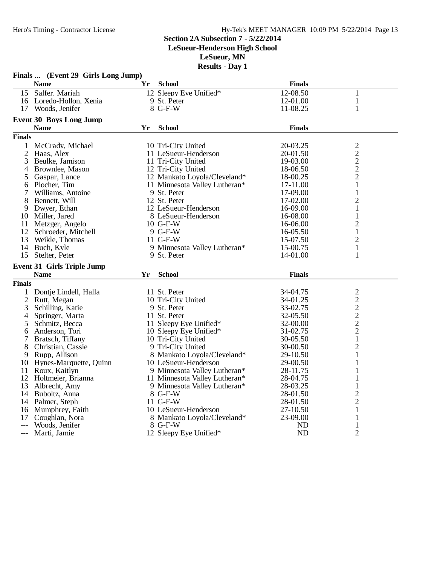#### **Section 2A Subsection 7 - 5/22/2014**

**LeSueur-Henderson High School**

**LeSueur, MN**

|                | Finals  (Event 29 Girls Long Jump) |    |                                   |                        |                                |  |
|----------------|------------------------------------|----|-----------------------------------|------------------------|--------------------------------|--|
|                | <b>Name</b>                        | Yr | <b>School</b>                     | <b>Finals</b>          |                                |  |
|                | 15 Salfer, Mariah                  |    | 12 Sleepy Eye Unified*            | 12-08.50               | $\mathbf{1}$                   |  |
|                | 16 Loredo-Hollon, Xenia            |    | 9 St. Peter                       | 12-01.00               | 1                              |  |
|                | 17 Woods, Jenifer                  |    | 8 G-F-W                           | 11-08.25               | 1                              |  |
|                | <b>Event 30 Boys Long Jump</b>     |    |                                   |                        |                                |  |
|                | <b>Name</b>                        | Yr | <b>School</b>                     | <b>Finals</b>          |                                |  |
| <b>Finals</b>  |                                    |    |                                   |                        |                                |  |
| $\mathbf{1}$   | McCrady, Michael                   |    | 10 Tri-City United                | 20-03.25               | 2                              |  |
| 2              | Haas, Alex                         |    | 11 LeSueur-Henderson              | 20-01.50               | $\sqrt{2}$                     |  |
| 3              | Beulke, Jamison                    |    | 11 Tri-City United                | 19-03.00               |                                |  |
| 4              | Brownlee, Mason                    |    | 12 Tri-City United                | 18-06.50               | $\frac{2}{2}$                  |  |
| 5              | Gaspar, Lance                      |    | 12 Mankato Loyola/Cleveland*      | 18-00.25               | $\overline{2}$                 |  |
| 6              | Plocher, Tim                       |    | 11 Minnesota Valley Lutheran*     | 17-11.00               | $\mathbf{1}$                   |  |
| 7              | Williams, Antoine                  |    | 9 St. Peter                       | 17-09.00               | $\mathbf{1}$                   |  |
| 8              | Bennett, Will                      |    | 12 St. Peter                      | 17-02.00               | $\overline{c}$                 |  |
| 9              | Dwyer, Ethan                       |    | 12 LeSueur-Henderson              | 16-09.00               | $\mathbf{1}$                   |  |
| 10             | Miller, Jared                      |    | 8 LeSueur-Henderson               | 16-08.00               | $\mathbf{1}$                   |  |
| 11             | Metzger, Angelo                    |    | $10$ G-F-W                        | 16-06.00               | $\overline{c}$                 |  |
| 12             | Schroeder, Mitchell                |    | 9 G-F-W                           | 16-05.50               | $\mathbf{1}$                   |  |
| 13             | Weikle, Thomas                     |    | 11 G-F-W                          | 15-07.50               | $\overline{2}$                 |  |
|                | 14 Buch, Kyle                      |    | 9 Minnesota Valley Lutheran*      | 15-00.75               | $\mathbf{1}$                   |  |
| 15             | Stelter, Peter                     |    | 9 St. Peter                       | 14-01.00               | 1                              |  |
|                |                                    |    |                                   |                        |                                |  |
|                |                                    |    |                                   |                        |                                |  |
|                | <b>Event 31 Girls Triple Jump</b>  |    |                                   |                        |                                |  |
|                | <b>Name</b>                        | Yr | <b>School</b>                     | <b>Finals</b>          |                                |  |
| <b>Finals</b>  |                                    |    |                                   |                        |                                |  |
| 1              | Dontje Lindell, Halla              |    | 11 St. Peter                      | 34-04.75               | 2                              |  |
| $\mathfrak{2}$ | Rutt, Megan                        |    | 10 Tri-City United                | 34-01.25               | $\overline{c}$                 |  |
| 3              | Schilling, Katie                   |    | 9 St. Peter                       | 33-02.75               | $\overline{c}$                 |  |
| 4              | Springer, Marta                    |    | 11 St. Peter                      | 32-05.50               |                                |  |
| 5              | Schmitz, Becca                     |    | 11 Sleepy Eye Unified*            | 32-00.00               | $\frac{2}{2}$                  |  |
| 6              | Anderson, Tori                     |    | 10 Sleepy Eye Unified*            | 31-02.75               | $\overline{c}$                 |  |
| 7              | Bratsch, Tiffany                   |    | 10 Tri-City United                | 30-05.50               | $\mathbf{1}$                   |  |
| 8              | Christian, Cassie                  |    | 9 Tri-City United                 | 30-00.50               | $\overline{2}$                 |  |
| 9              | Rupp, Allison                      |    | 8 Mankato Loyola/Cleveland*       | 29-10.50               | 1                              |  |
|                | 10 Hynes-Marquette, Quinn          |    | 10 LeSueur-Henderson              | 29-00.50               | 1                              |  |
|                | 11 Roux, Kaitlyn                   |    | 9 Minnesota Valley Lutheran*      | 28-11.75               | 1                              |  |
|                | 12 Holtmeier, Brianna              |    | 11 Minnesota Valley Lutheran*     | 28-04.75               | 1                              |  |
|                | 13 Albrecht, Amy                   |    | 9 Minnesota Valley Lutheran*      | 28-03.25               | 1                              |  |
|                | 14 Buboltz, Anna                   |    | 8 G-F-W                           | 28-01.50               | $\overline{c}$                 |  |
|                | 14 Palmer, Steph                   |    | 11 G-F-W                          | 28-01.50               | $\overline{c}$                 |  |
|                | 16 Mumphrey, Faith                 |    | 10 LeSueur-Henderson              | 27-10.50               | 1                              |  |
| 17             | Coughlan, Nora                     |    | 8 Mankato Loyola/Cleveland*       | 23-09.00               | $\mathbf{1}$                   |  |
| ---            | Woods, Jenifer<br>Marti, Jamie     |    | 8 G-F-W<br>12 Sleepy Eye Unified* | <b>ND</b><br><b>ND</b> | $\mathbf{1}$<br>$\overline{2}$ |  |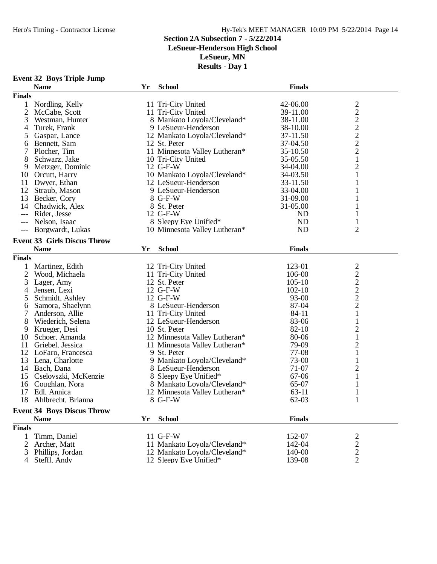**Event 32 Boys Triple Jump**

#### Hero's Timing - Contractor License Hy-Tek's MEET MANAGER 10:09 PM 5/22/2014 Page 14

#### **Section 2A Subsection 7 - 5/22/2014**

#### **LeSueur-Henderson High School**

**LeSueur, MN**

| <b>Finals</b><br>42-06.00<br>$\mathbf{1}$<br>Nordling, Kelly<br>11 Tri-City United                                             |                                            |  |  |  |  |  |  |
|--------------------------------------------------------------------------------------------------------------------------------|--------------------------------------------|--|--|--|--|--|--|
|                                                                                                                                |                                            |  |  |  |  |  |  |
|                                                                                                                                |                                            |  |  |  |  |  |  |
| 2 McCabe, Scott<br>11 Tri-City United<br>39-11.00                                                                              | $\frac{2}{2}$                              |  |  |  |  |  |  |
| 3<br>8 Mankato Loyola/Cleveland*<br>Westman, Hunter<br>38-11.00                                                                |                                            |  |  |  |  |  |  |
| 9 LeSueur-Henderson<br>4<br>Turek, Frank<br>38-10.00                                                                           |                                            |  |  |  |  |  |  |
| 12 Mankato Loyola/Cleveland*<br>5<br>Gaspar, Lance<br>37-11.50                                                                 | $\begin{array}{c} 2 \\ 2 \\ 2 \end{array}$ |  |  |  |  |  |  |
| 37-04.50<br>Bennett, Sam<br>12 St. Peter<br>6                                                                                  |                                            |  |  |  |  |  |  |
| 7<br>Plocher, Tim<br>11 Minnesota Valley Lutheran*<br>35-10.50                                                                 | $\overline{c}$                             |  |  |  |  |  |  |
| 8<br>Schwarz, Jake<br>10 Tri-City United<br>35-05.50                                                                           | $\mathbf{1}$                               |  |  |  |  |  |  |
| 12 G-F-W<br>9<br>Metzger, Dominic<br>34-04.00                                                                                  | $\overline{c}$                             |  |  |  |  |  |  |
| Orcutt, Harry<br>10 Mankato Loyola/Cleveland*<br>34-03.50<br>10                                                                | $\mathbf{1}$                               |  |  |  |  |  |  |
| Dwyer, Ethan<br>12 LeSueur-Henderson<br>33-11.50<br>11                                                                         | $\mathbf{1}$                               |  |  |  |  |  |  |
| 9 LeSueur-Henderson<br>33-04.00<br>12<br>Straub, Mason                                                                         | 1                                          |  |  |  |  |  |  |
| 8 G-F-W<br>31-09.00<br>13<br>Becker, Cory                                                                                      | $\mathbf{1}$                               |  |  |  |  |  |  |
| 8 St. Peter<br>31-05.00<br>14 Chadwick, Alex                                                                                   | 1                                          |  |  |  |  |  |  |
| 12 G-F-W<br><b>ND</b><br>Rider, Jesse                                                                                          | 1                                          |  |  |  |  |  |  |
| <b>ND</b><br>Nelson, Isaac<br>8 Sleepy Eye Unified*<br>$---$                                                                   | 1                                          |  |  |  |  |  |  |
| <b>ND</b><br>Borgwardt, Lukas<br>10 Minnesota Valley Lutheran*                                                                 | $\overline{2}$                             |  |  |  |  |  |  |
| <b>Event 33 Girls Discus Throw</b>                                                                                             |                                            |  |  |  |  |  |  |
|                                                                                                                                |                                            |  |  |  |  |  |  |
|                                                                                                                                |                                            |  |  |  |  |  |  |
| <b>School</b><br><b>Finals</b><br><b>Name</b><br>Yr                                                                            |                                            |  |  |  |  |  |  |
| <b>Finals</b>                                                                                                                  |                                            |  |  |  |  |  |  |
| Martinez, Edith<br>123-01<br>12 Tri-City United<br>1                                                                           |                                            |  |  |  |  |  |  |
| $\overline{2}$<br>106-00<br>Wood, Michaela<br>11 Tri-City United                                                               |                                            |  |  |  |  |  |  |
| 3<br>12 St. Peter<br>$105-10$<br>Lager, Amy                                                                                    |                                            |  |  |  |  |  |  |
| Jensen, Lexi<br>12 G-F-W<br>$102-10$<br>4                                                                                      |                                            |  |  |  |  |  |  |
| 12 G-F-W<br>93-00<br>Schmidt, Ashley<br>5                                                                                      | $\frac{2}{2}$<br>$\frac{2}{2}$             |  |  |  |  |  |  |
| Samora, Shaelynn<br>87-04<br>6<br>8 LeSueur-Henderson                                                                          | $\overline{c}$                             |  |  |  |  |  |  |
| 7<br>84-11<br>Anderson, Allie<br>11 Tri-City United                                                                            | $\mathbf{1}$                               |  |  |  |  |  |  |
| 8<br>83-06<br>Wiederich, Selena<br>12 LeSueur-Henderson                                                                        | 1                                          |  |  |  |  |  |  |
| 82-10<br>9<br>Krueger, Desi<br>10 St. Peter                                                                                    | $\overline{c}$                             |  |  |  |  |  |  |
| 80-06<br>10<br>Schoer, Amanda<br>12 Minnesota Valley Lutheran*                                                                 | $\mathbf{1}$                               |  |  |  |  |  |  |
| 79-09<br>11<br>Griebel, Jessica<br>11 Minnesota Valley Lutheran*                                                               | $\overline{c}$                             |  |  |  |  |  |  |
| 9 St. Peter<br>77-08<br>12<br>LoFaro, Francesca                                                                                | $\mathbf{1}$                               |  |  |  |  |  |  |
| 13 Lena, Charlotte<br>9 Mankato Loyola/Cleveland*<br>73-00                                                                     | $\mathbf{1}$                               |  |  |  |  |  |  |
| 71-07<br>14 Bach, Dana<br>8 LeSueur-Henderson                                                                                  | $\overline{c}$                             |  |  |  |  |  |  |
| Cselovszki, McKenzie<br>67-06<br>8 Sleepy Eye Unified*<br>15                                                                   | 1                                          |  |  |  |  |  |  |
| Coughlan, Nora<br>8 Mankato Loyola/Cleveland*<br>65-07<br>16                                                                   | 1                                          |  |  |  |  |  |  |
| Edl, Annica<br>12 Minnesota Valley Lutheran*<br>$63-11$<br>17                                                                  | 1                                          |  |  |  |  |  |  |
| $62 - 03$<br>18<br>8 G-F-W<br>Ahlbrecht, Brianna                                                                               | 1                                          |  |  |  |  |  |  |
| <b>Event 34 Boys Discus Throw</b>                                                                                              |                                            |  |  |  |  |  |  |
| <b>School</b><br><b>Finals</b><br><b>Name</b><br>Yr                                                                            |                                            |  |  |  |  |  |  |
|                                                                                                                                |                                            |  |  |  |  |  |  |
| <b>Finals</b>                                                                                                                  |                                            |  |  |  |  |  |  |
| 11 G-F-W<br>Timm, Daniel<br>152-07<br>1                                                                                        | 2                                          |  |  |  |  |  |  |
| 11 Mankato Loyola/Cleveland*<br>2<br>Archer, Matt<br>142-04<br>12 Mankato Loyola/Cleveland*<br>140-00<br>Phillips, Jordan<br>3 | $\overline{c}$<br>$\frac{2}{2}$            |  |  |  |  |  |  |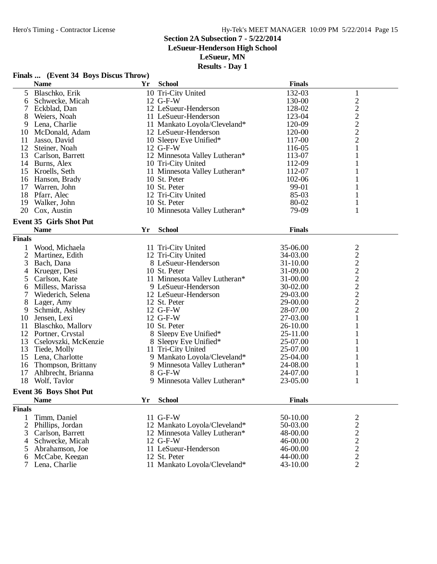#### Hero's Timing - Contractor License Hy-Tek's MEET MANAGER 10:09 PM 5/22/2014 Page 15

**Section 2A Subsection 7 - 5/22/2014**

**LeSueur-Henderson High School**

**LeSueur, MN**

|                | Finals  (Event 34 Boys Discus Throw) |    |                               |               |                         |  |
|----------------|--------------------------------------|----|-------------------------------|---------------|-------------------------|--|
|                | <b>Name</b>                          | Yr | <b>School</b>                 | <b>Finals</b> |                         |  |
| 5              | Blaschko, Erik                       |    | 10 Tri-City United            | 132-03        | 1                       |  |
| 6              | Schwecke, Micah                      |    | 12 G-F-W                      | 130-00        | $\overline{c}$          |  |
| 7              | Eckblad, Dan                         |    | 12 LeSueur-Henderson          | 128-02        | $\overline{c}$          |  |
| 8              | Weiers, Noah                         |    | 11 LeSueur-Henderson          | 123-04        | $\overline{\mathbf{c}}$ |  |
| 9              | Lena, Charlie                        |    | 11 Mankato Loyola/Cleveland*  | 120-09        | $\overline{c}$          |  |
| 10             | McDonald, Adam                       |    | 12 LeSueur-Henderson          | 120-00        | $\overline{c}$          |  |
| 11             | Jasso, David                         |    | 10 Sleepy Eye Unified*        | 117-00        | $\overline{2}$          |  |
| 12             | Steiner, Noah                        |    | 12 G-F-W                      | 116-05        | 1                       |  |
| 13             | Carlson, Barrett                     |    | 12 Minnesota Valley Lutheran* | 113-07        | 1                       |  |
|                | 14 Burns, Alex                       |    | 10 Tri-City United            | 112-09        |                         |  |
|                | 15 Kroells, Seth                     |    | 11 Minnesota Valley Lutheran* | 112-07        |                         |  |
| 16             | Hanson, Brady                        |    | 10 St. Peter                  | 102-06        |                         |  |
| 17             | Warren, John                         |    | 10 St. Peter                  | 99-01         |                         |  |
| 18             | Pfarr, Alec                          |    | 12 Tri-City United            | 85-03         | 1                       |  |
| 19             | Walker, John                         |    | 10 St. Peter                  | 80-02         |                         |  |
| 20             | Cox, Austin                          |    | 10 Minnesota Valley Lutheran* | 79-09         | 1                       |  |
|                | <b>Event 35 Girls Shot Put</b>       |    |                               |               |                         |  |
|                | <b>Name</b>                          | Yr | <b>School</b>                 | <b>Finals</b> |                         |  |
| <b>Finals</b>  |                                      |    |                               |               |                         |  |
|                | Wood, Michaela                       |    | 11 Tri-City United            | 35-06.00      | $\overline{\mathbf{c}}$ |  |
| $\overline{c}$ | Martinez, Edith                      |    | 12 Tri-City United            | 34-03.00      |                         |  |
| 3              | Bach, Dana                           |    | 8 LeSueur-Henderson           | 31-10.00      | $\frac{2}{2}$           |  |
| 4              | Krueger, Desi                        |    | 10 St. Peter                  | 31-09.00      |                         |  |
| 5              | Carlson, Kate                        |    | 11 Minnesota Valley Lutheran* | 31-00.00      |                         |  |
| 6              | Milless, Marissa                     |    | 9 LeSueur-Henderson           | 30-02.00      | $\frac{2}{2}$           |  |
| 7              | Wiederich, Selena                    |    | 12 LeSueur-Henderson          | 29-03.00      |                         |  |
| 8              | Lager, Amy                           |    | 12 St. Peter                  | 29-00.00      | $\overline{c}$          |  |
| 9              | Schmidt, Ashley                      |    | 12 G-F-W                      | 28-07.00      | $\overline{2}$          |  |
| 10             | Jensen, Lexi                         |    | 12 G-F-W                      | 27-03.00      | $\mathbf{1}$            |  |
| 11             | Blaschko, Mallory                    |    | 10 St. Peter                  | 26-10.00      | 1                       |  |
| 12             | Portner, Crystal                     |    | 8 Sleepy Eye Unified*         | 25-11.00      |                         |  |
| 13             | Cselovszki, McKenzie                 |    | 8 Sleepy Eye Unified*         | 25-07.00      |                         |  |
| 13             | Tiede, Molly                         |    | 11 Tri-City United            | 25-07.00      |                         |  |
| 15             | Lena, Charlotte                      |    | 9 Mankato Loyola/Cleveland*   | 25-04.00      | 1                       |  |
| 16             | Thompson, Brittany                   |    | 9 Minnesota Valley Lutheran*  | 24-08.00      | 1                       |  |
| 17             | Ahlbrecht, Brianna                   |    | 8 G-F-W                       | 24-07.00      | 1                       |  |
|                | 18 Wolf, Taylor                      |    | 9 Minnesota Valley Lutheran*  | 23-05.00      | 1                       |  |
|                | <b>Event 36 Boys Shot Put</b>        |    |                               |               |                         |  |
|                | <b>Name</b>                          | Yr | <b>School</b>                 | <b>Finals</b> |                         |  |
| <b>Finals</b>  |                                      |    |                               |               |                         |  |
| 1              | Timm, Daniel                         |    | 11 G-F-W                      | 50-10.00      |                         |  |
| 2              | Phillips, Jordan                     |    | 12 Mankato Loyola/Cleveland*  | 50-03.00      | $\frac{2}{2}$           |  |
| 3              | Carlson, Barrett                     |    | 12 Minnesota Valley Lutheran* | 48-00.00      | $\overline{c}$          |  |
| 4              | Schwecke, Micah                      |    | 12 G-F-W                      | 46-00.00      |                         |  |
| 5              | Abrahamson, Joe                      |    | 11 LeSueur-Henderson          | 46-00.00      | $\frac{2}{2}$           |  |
| 6              | McCabe, Keegan                       |    | 12 St. Peter                  | 44-00.00      | $\overline{c}$          |  |
|                | Lena, Charlie                        |    | 11 Mankato Loyola/Cleveland*  | 43-10.00      | $\overline{2}$          |  |